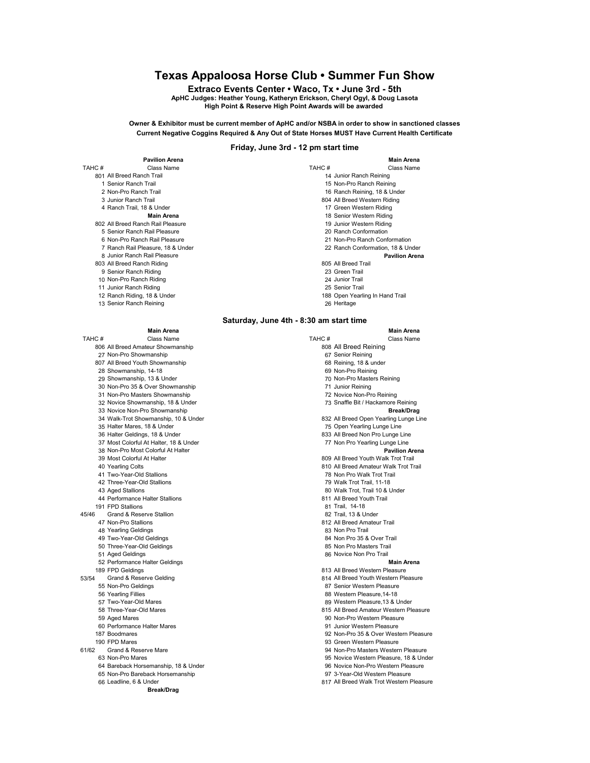# Texas Appaloosa Horse Club • Summer Fun Show

Extraco Events Center • Waco, Tx • June 3rd - 5th ApHC Judges: Heather Young, Katheryn Erickson, Cheryl Ogyl, & Doug Lasota High Point & Reserve High Point Awards will be awarded

Owner & Exhibitor must be current member of ApHC and/or NSBA in order to show in sanctioned classes Current Negative Coggins Required & Any Out of State Horses MUST Have Current Health Certificate

# Friday, June 3rd - 12 pm start time

|        | <b>Pavilion Arena</b>             |       | <b>Main Arena</b>                 |
|--------|-----------------------------------|-------|-----------------------------------|
| TAHC # | Class Name                        | TAHC# | Class Name                        |
|        | 801 All Breed Ranch Trail         |       | 14 Junior Ranch Reining           |
|        | 1 Senior Ranch Trail              |       | 15 Non-Pro Ranch Reining          |
|        | 2 Non-Pro Ranch Trail             |       | 16 Ranch Reining, 18 & Under      |
|        | 3 Junior Ranch Trail              |       | 804 All Breed Western Riding      |
|        | 4 Ranch Trail, 18 & Under         |       | 17 Green Western Riding           |
|        | <b>Main Arena</b>                 |       | 18 Senior Western Riding          |
|        | 802 All Breed Ranch Rail Pleasure |       | 19 Junior Western Riding          |
|        | 5 Senior Ranch Rail Pleasure      |       | 20 Ranch Conformation             |
|        | 6 Non-Pro Ranch Rail Pleasure     |       | 21 Non-Pro Ranch Conformation     |
|        | 7 Ranch Rail Pleasure, 18 & Under |       | 22 Ranch Conformation, 18 & Under |
|        | 8 Junior Ranch Rail Pleasure      |       | <b>Pavilion Arena</b>             |
|        | 803 All Breed Ranch Riding        |       | 805 All Breed Trail               |
|        | 9 Senior Ranch Riding             |       | 23 Green Trail                    |
|        | 10 Non-Pro Ranch Riding           |       | 24 Junior Trail                   |
|        | 11 Junior Ranch Riding            |       | 25 Senior Trail                   |
|        | 12 Ranch Riding, 18 & Under       |       | 188 Open Yearling In Hand Trail   |
|        | 13 Senior Ranch Reining           |       | 26 Heritage                       |

# Saturday, June 4th - 8:30 am start time

Main Arena Main Arena TAHC # Class Name Class Name TAHC # Class Name TAHC # Class Name 806 All Breed Amateur Showmanship 808 All Breed Reining 27 Non-Pro Showmanship 807 All Breed Youth Showmanship 68 Reining, 18 & under 28 Showmanship, 14-18 **69 Non-Pro Reining** 29 Showmanship, 13 & Under 70 Non-Pro Masters Reining 30 Non-Pro 35 & Over Showmanship 71 Junior Reining 31 Non-Pro Masters Showmanship 72 Novice Non-Pro Reining 32 Novice Showmanship, 18 & Under 33 Novice Non-Pro Showmanship<br>34 Walk-Trot Showmanship 10 & Under State of Break of the Break of Break/Drag Break/Drag (1999) 35 Halter Mares, 18 & Under 1990 and 1990 and 1990 and 1990 and 1990 and 150 Open Yearling Lunge Line<br>1991 1893 All Breed Non Pro Lunge Line 37 Most Colorful At Halter, 18 & Under 77 Non Pro Yearling Lunge Line<br>38 Non-Pro Most Colorful At Halter 70 Most Colorful At Halter 70 Most 2011 38 Non-Pro Most Colorful At Halter 39 Most Colorful At Halter 809 All Breed Youth Walk Trot Trail 40 Yearling Colts 810 All Breed Amateur Walk Trot Trail 41 Two-Year-Old Stallions 78 Non Pro Walk Trot Trail 42 Three-Year-Old Stallions 79 Walk Trot Trail, 11-18 43 Aged Stallions 80 Walk Trot, Trail 10 & Under 44 Performance Halter Stallions 191 FPD Stallions 1918 and State 1918 and State 1918 and State 1918 and State 1918 and State 1918 and State 1<br>152 Trail, 13 & Under 1919 and State 1919 and State 1919 and State 1919 and State 1919 and State 1919 and State Grand & Reserve Stallion 47 Non-Pro Stallions 812 All Breed Amateur Trail 48 Yearling Geldings **83 Non Pro Trail** 49 Two-Year-Old Geldings 84 Non Pro 35 & Over Trail 50 Three-Year-Old Geldings 85 Non Pro Masters Trail 52 Performance Halter Geldings **Main Arena** and Control of the Main Arena and Main Arena and Main Arena and Main Arena المال السياحة السابقة 13 All Breed Western Pleasure 189 FPD Geldings<br>814 All Breed Youth Western Pleasure S3/54 All Breed Youth Western Pleasure Grand & Reserve Gelding and the state of the state of the Samuel Basic State and State and State and State and S<br>87 Senior Western Pleasure 55 Non-Pro Geldings 87 Senior Western Pleasure 57 Two-Year-Old Mares 89 Western Pleasure,13 & Under 58 Three-Year-Old Mares 615 All Breed Amateur Western Pleasure<br>59 Aged Mares 815 All Breed Amateur Western Pleasure 60 Performance Halter Mares<br>187 Boodmares 187 Boodmares 92 Non-Pro 35 & Over Western Pleasure 190 FPD Mares 1998 of the matter of the state of the Same of the Same of the Same of the Same of the Same of the Same of the Same of the Same of the Same of the Same of the Same of the Same of the Same of the Same of the S Grand & Reserve Mare 94 Non-Pro Masters Western Pleasure 63 Non-Pro Mares 95 Novice Western Pleasure, 18 & Under 64 Bareback Horsemanship, 18 & Under 96 Novice Non-Pro Western Pleasure 65 Non-Pro Bareback Horsemanship<br>66 Leadline, 6 & Under Break/Drag

832 All Breed Open Yearling Lunge Line 833 All Breed Non Pro Lunge Line 86 Novice Non Pro Trail 88 Western Pleasure, 14-18 90 Non-Pro Western Pleasure<br>91 Junior Western Pleasure 817 All Breed Walk Trot Western Pleasure